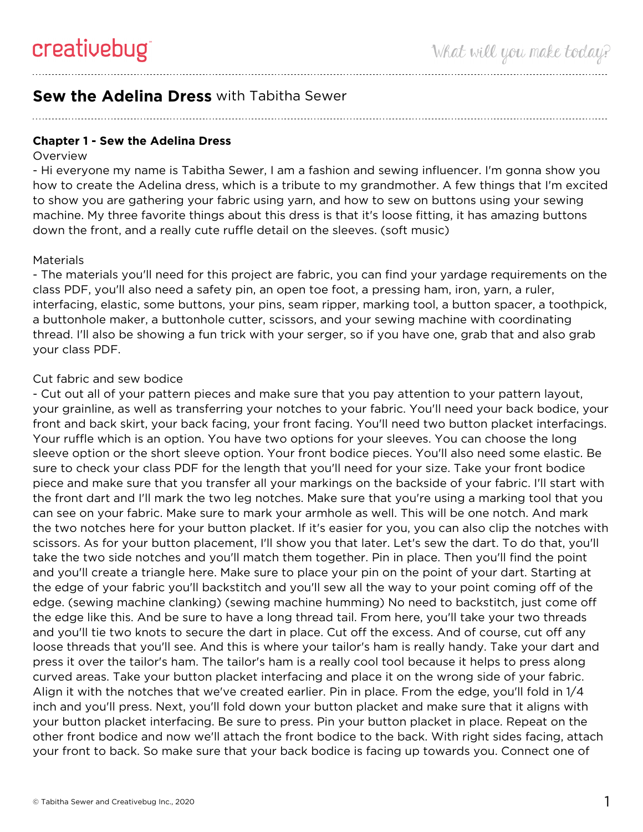# **Sew the Adelina Dress** with Tabitha Sewer

**Chapter 1 - Sew the Adelina Dress**

#### **Overview**

- Hi everyone my name is Tabitha Sewer, I am a fashion and sewing influencer. I'm gonna show you how to create the Adelina dress, which is a tribute to my grandmother. A few things that I'm excited to show you are gathering your fabric using yarn, and how to sew on buttons using your sewing machine. My three favorite things about this dress is that it's loose fitting, it has amazing buttons down the front, and a really cute ruffle detail on the sleeves. (soft music)

#### **Materials**

- The materials you'll need for this project are fabric, you can find your yardage requirements on the class PDF, you'll also need a safety pin, an open toe foot, a pressing ham, iron, yarn, a ruler, interfacing, elastic, some buttons, your pins, seam ripper, marking tool, a button spacer, a toothpick, a buttonhole maker, a buttonhole cutter, scissors, and your sewing machine with coordinating thread. I'll also be showing a fun trick with your serger, so if you have one, grab that and also grab your class PDF.

## Cut fabric and sew bodice

- Cut out all of your pattern pieces and make sure that you pay attention to your pattern layout, your grainline, as well as transferring your notches to your fabric. You'll need your back bodice, your front and back skirt, your back facing, your front facing. You'll need two button placket interfacings. Your ruffle which is an option. You have two options for your sleeves. You can choose the long sleeve option or the short sleeve option. Your front bodice pieces. You'll also need some elastic. Be sure to check your class PDF for the length that you'll need for your size. Take your front bodice piece and make sure that you transfer all your markings on the backside of your fabric. I'll start with the front dart and I'll mark the two leg notches. Make sure that you're using a marking tool that you can see on your fabric. Make sure to mark your armhole as well. This will be one notch. And mark the two notches here for your button placket. If it's easier for you, you can also clip the notches with scissors. As for your button placement, I'll show you that later. Let's sew the dart. To do that, you'll take the two side notches and you'll match them together. Pin in place. Then you'll find the point and you'll create a triangle here. Make sure to place your pin on the point of your dart. Starting at the edge of your fabric you'll backstitch and you'll sew all the way to your point coming off of the edge. (sewing machine clanking) (sewing machine humming) No need to backstitch, just come off the edge like this. And be sure to have a long thread tail. From here, you'll take your two threads and you'll tie two knots to secure the dart in place. Cut off the excess. And of course, cut off any loose threads that you'll see. And this is where your tailor's ham is really handy. Take your dart and press it over the tailor's ham. The tailor's ham is a really cool tool because it helps to press along curved areas. Take your button placket interfacing and place it on the wrong side of your fabric. Align it with the notches that we've created earlier. Pin in place. From the edge, you'll fold in 1/4 inch and you'll press. Next, you'll fold down your button placket and make sure that it aligns with your button placket interfacing. Be sure to press. Pin your button placket in place. Repeat on the other front bodice and now we'll attach the front bodice to the back. With right sides facing, attach your front to back. So make sure that your back bodice is facing up towards you. Connect one of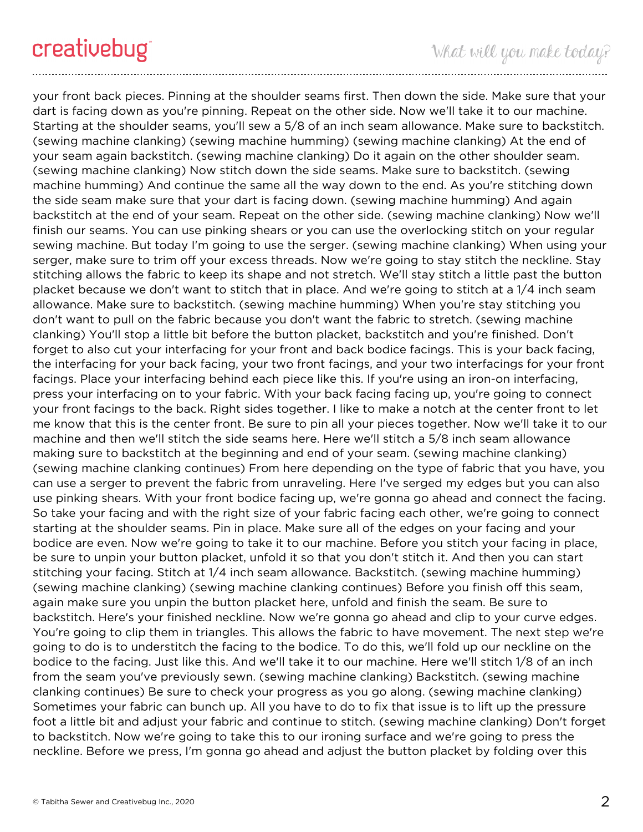your front back pieces. Pinning at the shoulder seams first. Then down the side. Make sure that your dart is facing down as you're pinning. Repeat on the other side. Now we'll take it to our machine. Starting at the shoulder seams, you'll sew a 5/8 of an inch seam allowance. Make sure to backstitch. (sewing machine clanking) (sewing machine humming) (sewing machine clanking) At the end of your seam again backstitch. (sewing machine clanking) Do it again on the other shoulder seam. (sewing machine clanking) Now stitch down the side seams. Make sure to backstitch. (sewing machine humming) And continue the same all the way down to the end. As you're stitching down the side seam make sure that your dart is facing down. (sewing machine humming) And again backstitch at the end of your seam. Repeat on the other side. (sewing machine clanking) Now we'll finish our seams. You can use pinking shears or you can use the overlocking stitch on your regular sewing machine. But today I'm going to use the serger. (sewing machine clanking) When using your serger, make sure to trim off your excess threads. Now we're going to stay stitch the neckline. Stay stitching allows the fabric to keep its shape and not stretch. We'll stay stitch a little past the button placket because we don't want to stitch that in place. And we're going to stitch at a 1/4 inch seam allowance. Make sure to backstitch. (sewing machine humming) When you're stay stitching you don't want to pull on the fabric because you don't want the fabric to stretch. (sewing machine clanking) You'll stop a little bit before the button placket, backstitch and you're finished. Don't forget to also cut your interfacing for your front and back bodice facings. This is your back facing, the interfacing for your back facing, your two front facings, and your two interfacings for your front facings. Place your interfacing behind each piece like this. If you're using an iron-on interfacing, press your interfacing on to your fabric. With your back facing facing up, you're going to connect your front facings to the back. Right sides together. I like to make a notch at the center front to let me know that this is the center front. Be sure to pin all your pieces together. Now we'll take it to our machine and then we'll stitch the side seams here. Here we'll stitch a 5/8 inch seam allowance making sure to backstitch at the beginning and end of your seam. (sewing machine clanking) (sewing machine clanking continues) From here depending on the type of fabric that you have, you can use a serger to prevent the fabric from unraveling. Here I've serged my edges but you can also use pinking shears. With your front bodice facing up, we're gonna go ahead and connect the facing. So take your facing and with the right size of your fabric facing each other, we're going to connect starting at the shoulder seams. Pin in place. Make sure all of the edges on your facing and your bodice are even. Now we're going to take it to our machine. Before you stitch your facing in place, be sure to unpin your button placket, unfold it so that you don't stitch it. And then you can start stitching your facing. Stitch at 1/4 inch seam allowance. Backstitch. (sewing machine humming) (sewing machine clanking) (sewing machine clanking continues) Before you finish off this seam, again make sure you unpin the button placket here, unfold and finish the seam. Be sure to backstitch. Here's your finished neckline. Now we're gonna go ahead and clip to your curve edges. You're going to clip them in triangles. This allows the fabric to have movement. The next step we're going to do is to understitch the facing to the bodice. To do this, we'll fold up our neckline on the bodice to the facing. Just like this. And we'll take it to our machine. Here we'll stitch 1/8 of an inch from the seam you've previously sewn. (sewing machine clanking) Backstitch. (sewing machine clanking continues) Be sure to check your progress as you go along. (sewing machine clanking) Sometimes your fabric can bunch up. All you have to do to fix that issue is to lift up the pressure foot a little bit and adjust your fabric and continue to stitch. (sewing machine clanking) Don't forget to backstitch. Now we're going to take this to our ironing surface and we're going to press the neckline. Before we press, I'm gonna go ahead and adjust the button placket by folding over this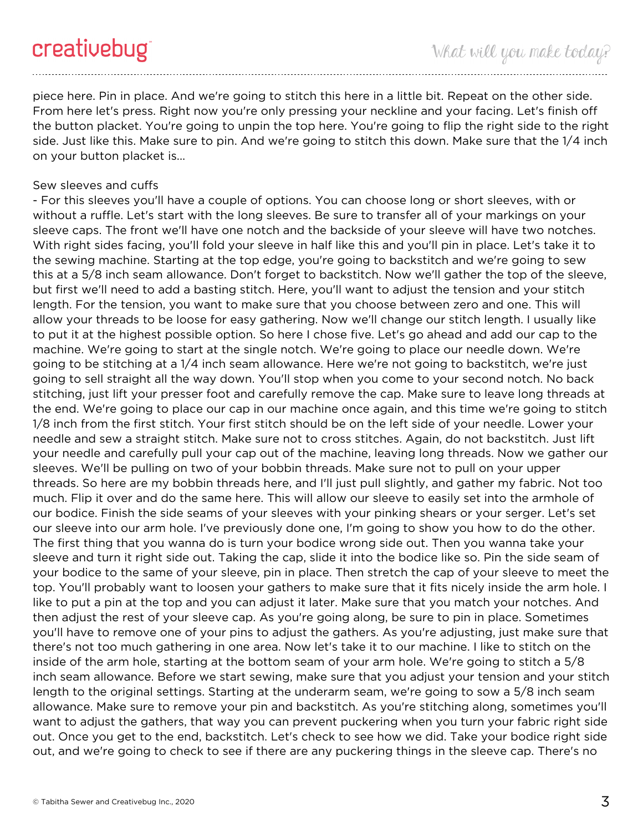piece here. Pin in place. And we're going to stitch this here in a little bit. Repeat on the other side. From here let's press. Right now you're only pressing your neckline and your facing. Let's finish off the button placket. You're going to unpin the top here. You're going to flip the right side to the right side. Just like this. Make sure to pin. And we're going to stitch this down. Make sure that the 1/4 inch on your button placket is...

## Sew sleeves and cuffs

- For this sleeves you'll have a couple of options. You can choose long or short sleeves, with or without a ruffle. Let's start with the long sleeves. Be sure to transfer all of your markings on your sleeve caps. The front we'll have one notch and the backside of your sleeve will have two notches. With right sides facing, you'll fold your sleeve in half like this and you'll pin in place. Let's take it to the sewing machine. Starting at the top edge, you're going to backstitch and we're going to sew this at a 5/8 inch seam allowance. Don't forget to backstitch. Now we'll gather the top of the sleeve, but first we'll need to add a basting stitch. Here, you'll want to adjust the tension and your stitch length. For the tension, you want to make sure that you choose between zero and one. This will allow your threads to be loose for easy gathering. Now we'll change our stitch length. I usually like to put it at the highest possible option. So here I chose five. Let's go ahead and add our cap to the machine. We're going to start at the single notch. We're going to place our needle down. We're going to be stitching at a 1/4 inch seam allowance. Here we're not going to backstitch, we're just going to sell straight all the way down. You'll stop when you come to your second notch. No back stitching, just lift your presser foot and carefully remove the cap. Make sure to leave long threads at the end. We're going to place our cap in our machine once again, and this time we're going to stitch 1/8 inch from the first stitch. Your first stitch should be on the left side of your needle. Lower your needle and sew a straight stitch. Make sure not to cross stitches. Again, do not backstitch. Just lift your needle and carefully pull your cap out of the machine, leaving long threads. Now we gather our sleeves. We'll be pulling on two of your bobbin threads. Make sure not to pull on your upper threads. So here are my bobbin threads here, and I'll just pull slightly, and gather my fabric. Not too much. Flip it over and do the same here. This will allow our sleeve to easily set into the armhole of our bodice. Finish the side seams of your sleeves with your pinking shears or your serger. Let's set our sleeve into our arm hole. I've previously done one, I'm going to show you how to do the other. The first thing that you wanna do is turn your bodice wrong side out. Then you wanna take your sleeve and turn it right side out. Taking the cap, slide it into the bodice like so. Pin the side seam of your bodice to the same of your sleeve, pin in place. Then stretch the cap of your sleeve to meet the top. You'll probably want to loosen your gathers to make sure that it fits nicely inside the arm hole. I like to put a pin at the top and you can adjust it later. Make sure that you match your notches. And then adjust the rest of your sleeve cap. As you're going along, be sure to pin in place. Sometimes you'll have to remove one of your pins to adjust the gathers. As you're adjusting, just make sure that there's not too much gathering in one area. Now let's take it to our machine. I like to stitch on the inside of the arm hole, starting at the bottom seam of your arm hole. We're going to stitch a 5/8 inch seam allowance. Before we start sewing, make sure that you adjust your tension and your stitch length to the original settings. Starting at the underarm seam, we're going to sow a 5/8 inch seam allowance. Make sure to remove your pin and backstitch. As you're stitching along, sometimes you'll want to adjust the gathers, that way you can prevent puckering when you turn your fabric right side out. Once you get to the end, backstitch. Let's check to see how we did. Take your bodice right side out, and we're going to check to see if there are any puckering things in the sleeve cap. There's no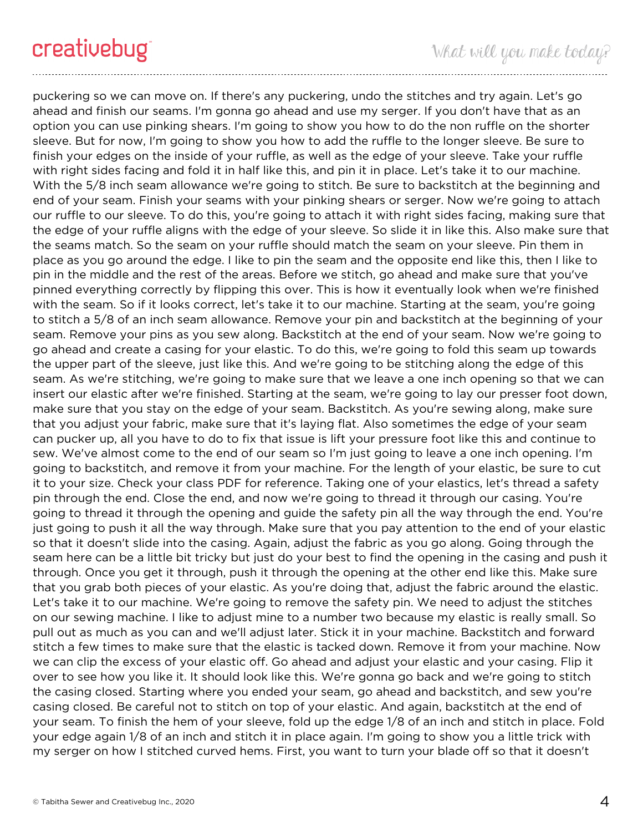puckering so we can move on. If there's any puckering, undo the stitches and try again. Let's go ahead and finish our seams. I'm gonna go ahead and use my serger. If you don't have that as an option you can use pinking shears. I'm going to show you how to do the non ruffle on the shorter sleeve. But for now, I'm going to show you how to add the ruffle to the longer sleeve. Be sure to finish your edges on the inside of your ruffle, as well as the edge of your sleeve. Take your ruffle with right sides facing and fold it in half like this, and pin it in place. Let's take it to our machine. With the 5/8 inch seam allowance we're going to stitch. Be sure to backstitch at the beginning and end of your seam. Finish your seams with your pinking shears or serger. Now we're going to attach our ruffle to our sleeve. To do this, you're going to attach it with right sides facing, making sure that the edge of your ruffle aligns with the edge of your sleeve. So slide it in like this. Also make sure that the seams match. So the seam on your ruffle should match the seam on your sleeve. Pin them in place as you go around the edge. I like to pin the seam and the opposite end like this, then I like to pin in the middle and the rest of the areas. Before we stitch, go ahead and make sure that you've pinned everything correctly by flipping this over. This is how it eventually look when we're finished with the seam. So if it looks correct, let's take it to our machine. Starting at the seam, you're going to stitch a 5/8 of an inch seam allowance. Remove your pin and backstitch at the beginning of your seam. Remove your pins as you sew along. Backstitch at the end of your seam. Now we're going to go ahead and create a casing for your elastic. To do this, we're going to fold this seam up towards the upper part of the sleeve, just like this. And we're going to be stitching along the edge of this seam. As we're stitching, we're going to make sure that we leave a one inch opening so that we can insert our elastic after we're finished. Starting at the seam, we're going to lay our presser foot down, make sure that you stay on the edge of your seam. Backstitch. As you're sewing along, make sure that you adjust your fabric, make sure that it's laying flat. Also sometimes the edge of your seam can pucker up, all you have to do to fix that issue is lift your pressure foot like this and continue to sew. We've almost come to the end of our seam so I'm just going to leave a one inch opening. I'm going to backstitch, and remove it from your machine. For the length of your elastic, be sure to cut it to your size. Check your class PDF for reference. Taking one of your elastics, let's thread a safety pin through the end. Close the end, and now we're going to thread it through our casing. You're going to thread it through the opening and guide the safety pin all the way through the end. You're just going to push it all the way through. Make sure that you pay attention to the end of your elastic so that it doesn't slide into the casing. Again, adjust the fabric as you go along. Going through the seam here can be a little bit tricky but just do your best to find the opening in the casing and push it through. Once you get it through, push it through the opening at the other end like this. Make sure that you grab both pieces of your elastic. As you're doing that, adjust the fabric around the elastic. Let's take it to our machine. We're going to remove the safety pin. We need to adjust the stitches on our sewing machine. I like to adjust mine to a number two because my elastic is really small. So pull out as much as you can and we'll adjust later. Stick it in your machine. Backstitch and forward stitch a few times to make sure that the elastic is tacked down. Remove it from your machine. Now we can clip the excess of your elastic off. Go ahead and adjust your elastic and your casing. Flip it over to see how you like it. It should look like this. We're gonna go back and we're going to stitch the casing closed. Starting where you ended your seam, go ahead and backstitch, and sew you're casing closed. Be careful not to stitch on top of your elastic. And again, backstitch at the end of your seam. To finish the hem of your sleeve, fold up the edge 1/8 of an inch and stitch in place. Fold your edge again 1/8 of an inch and stitch it in place again. I'm going to show you a little trick with my serger on how I stitched curved hems. First, you want to turn your blade off so that it doesn't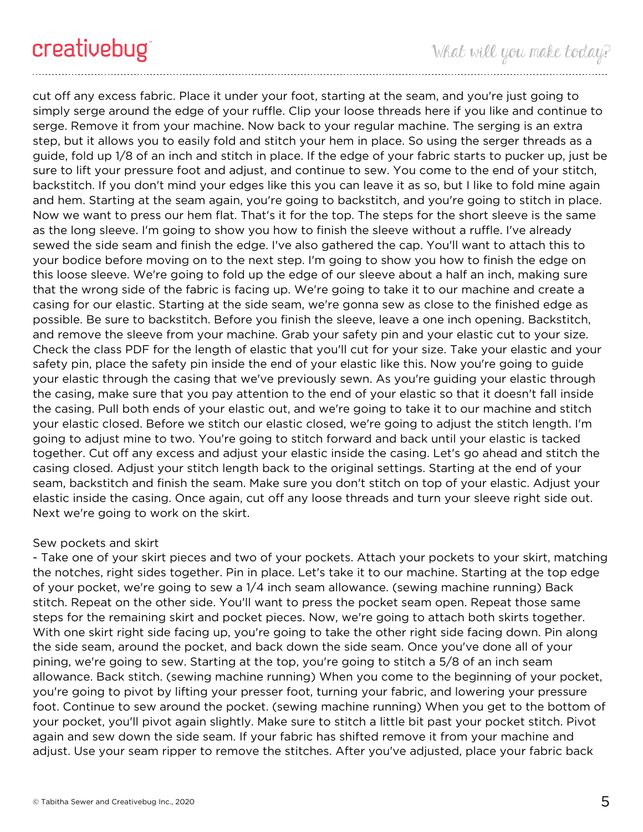cut off any excess fabric. Place it under your foot, starting at the seam, and you're just going to simply serge around the edge of your ruffle. Clip your loose threads here if you like and continue to serge. Remove it from your machine. Now back to your regular machine. The serging is an extra step, but it allows you to easily fold and stitch your hem in place. So using the serger threads as a guide, fold up 1/8 of an inch and stitch in place. If the edge of your fabric starts to pucker up, just be sure to lift your pressure foot and adjust, and continue to sew. You come to the end of your stitch, backstitch. If you don't mind your edges like this you can leave it as so, but I like to fold mine again and hem. Starting at the seam again, you're going to backstitch, and you're going to stitch in place. Now we want to press our hem flat. That's it for the top. The steps for the short sleeve is the same as the long sleeve. I'm going to show you how to finish the sleeve without a ruffle. I've already sewed the side seam and finish the edge. I've also gathered the cap. You'll want to attach this to your bodice before moving on to the next step. I'm going to show you how to finish the edge on this loose sleeve. We're going to fold up the edge of our sleeve about a half an inch, making sure that the wrong side of the fabric is facing up. We're going to take it to our machine and create a casing for our elastic. Starting at the side seam, we're gonna sew as close to the finished edge as possible. Be sure to backstitch. Before you finish the sleeve, leave a one inch opening. Backstitch, and remove the sleeve from your machine. Grab your safety pin and your elastic cut to your size. Check the class PDF for the length of elastic that you'll cut for your size. Take your elastic and your safety pin, place the safety pin inside the end of your elastic like this. Now you're going to guide your elastic through the casing that we've previously sewn. As you're guiding your elastic through the casing, make sure that you pay attention to the end of your elastic so that it doesn't fall inside the casing. Pull both ends of your elastic out, and we're going to take it to our machine and stitch your elastic closed. Before we stitch our elastic closed, we're going to adjust the stitch length. I'm going to adjust mine to two. You're going to stitch forward and back until your elastic is tacked together. Cut off any excess and adjust your elastic inside the casing. Let's go ahead and stitch the casing closed. Adjust your stitch length back to the original settings. Starting at the end of your seam, backstitch and finish the seam. Make sure you don't stitch on top of your elastic. Adjust your elastic inside the casing. Once again, cut off any loose threads and turn your sleeve right side out. Next we're going to work on the skirt.

## Sew pockets and skirt

- Take one of your skirt pieces and two of your pockets. Attach your pockets to your skirt, matching the notches, right sides together. Pin in place. Let's take it to our machine. Starting at the top edge of your pocket, we're going to sew a 1/4 inch seam allowance. (sewing machine running) Back stitch. Repeat on the other side. You'll want to press the pocket seam open. Repeat those same steps for the remaining skirt and pocket pieces. Now, we're going to attach both skirts together. With one skirt right side facing up, you're going to take the other right side facing down. Pin along the side seam, around the pocket, and back down the side seam. Once you've done all of your pining, we're going to sew. Starting at the top, you're going to stitch a 5/8 of an inch seam allowance. Back stitch. (sewing machine running) When you come to the beginning of your pocket, you're going to pivot by lifting your presser foot, turning your fabric, and lowering your pressure foot. Continue to sew around the pocket. (sewing machine running) When you get to the bottom of your pocket, you'll pivot again slightly. Make sure to stitch a little bit past your pocket stitch. Pivot again and sew down the side seam. If your fabric has shifted remove it from your machine and adjust. Use your seam ripper to remove the stitches. After you've adjusted, place your fabric back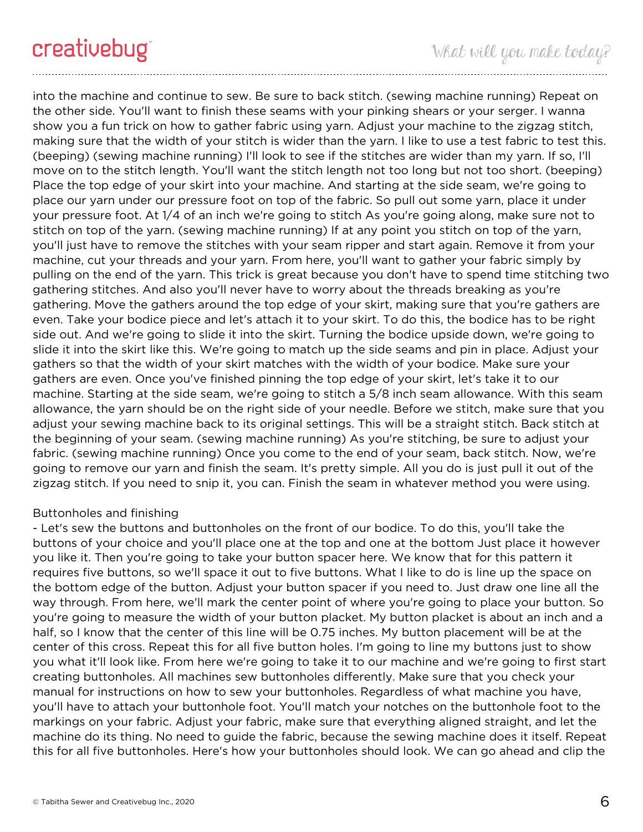into the machine and continue to sew. Be sure to back stitch. (sewing machine running) Repeat on the other side. You'll want to finish these seams with your pinking shears or your serger. I wanna show you a fun trick on how to gather fabric using yarn. Adjust your machine to the zigzag stitch, making sure that the width of your stitch is wider than the yarn. I like to use a test fabric to test this. (beeping) (sewing machine running) I'll look to see if the stitches are wider than my yarn. If so, I'll move on to the stitch length. You'll want the stitch length not too long but not too short. (beeping) Place the top edge of your skirt into your machine. And starting at the side seam, we're going to place our yarn under our pressure foot on top of the fabric. So pull out some yarn, place it under your pressure foot. At 1/4 of an inch we're going to stitch As you're going along, make sure not to stitch on top of the yarn. (sewing machine running) If at any point you stitch on top of the yarn, you'll just have to remove the stitches with your seam ripper and start again. Remove it from your machine, cut your threads and your yarn. From here, you'll want to gather your fabric simply by pulling on the end of the yarn. This trick is great because you don't have to spend time stitching two gathering stitches. And also you'll never have to worry about the threads breaking as you're gathering. Move the gathers around the top edge of your skirt, making sure that you're gathers are even. Take your bodice piece and let's attach it to your skirt. To do this, the bodice has to be right side out. And we're going to slide it into the skirt. Turning the bodice upside down, we're going to slide it into the skirt like this. We're going to match up the side seams and pin in place. Adjust your gathers so that the width of your skirt matches with the width of your bodice. Make sure your gathers are even. Once you've finished pinning the top edge of your skirt, let's take it to our machine. Starting at the side seam, we're going to stitch a 5/8 inch seam allowance. With this seam allowance, the yarn should be on the right side of your needle. Before we stitch, make sure that you adjust your sewing machine back to its original settings. This will be a straight stitch. Back stitch at the beginning of your seam. (sewing machine running) As you're stitching, be sure to adjust your fabric. (sewing machine running) Once you come to the end of your seam, back stitch. Now, we're going to remove our yarn and finish the seam. It's pretty simple. All you do is just pull it out of the zigzag stitch. If you need to snip it, you can. Finish the seam in whatever method you were using.

# Buttonholes and finishing

- Let's sew the buttons and buttonholes on the front of our bodice. To do this, you'll take the buttons of your choice and you'll place one at the top and one at the bottom Just place it however you like it. Then you're going to take your button spacer here. We know that for this pattern it requires five buttons, so we'll space it out to five buttons. What I like to do is line up the space on the bottom edge of the button. Adjust your button spacer if you need to. Just draw one line all the way through. From here, we'll mark the center point of where you're going to place your button. So you're going to measure the width of your button placket. My button placket is about an inch and a half, so I know that the center of this line will be 0.75 inches. My button placement will be at the center of this cross. Repeat this for all five button holes. I'm going to line my buttons just to show you what it'll look like. From here we're going to take it to our machine and we're going to first start creating buttonholes. All machines sew buttonholes differently. Make sure that you check your manual for instructions on how to sew your buttonholes. Regardless of what machine you have, you'll have to attach your buttonhole foot. You'll match your notches on the buttonhole foot to the markings on your fabric. Adjust your fabric, make sure that everything aligned straight, and let the machine do its thing. No need to guide the fabric, because the sewing machine does it itself. Repeat this for all five buttonholes. Here's how your buttonholes should look. We can go ahead and clip the